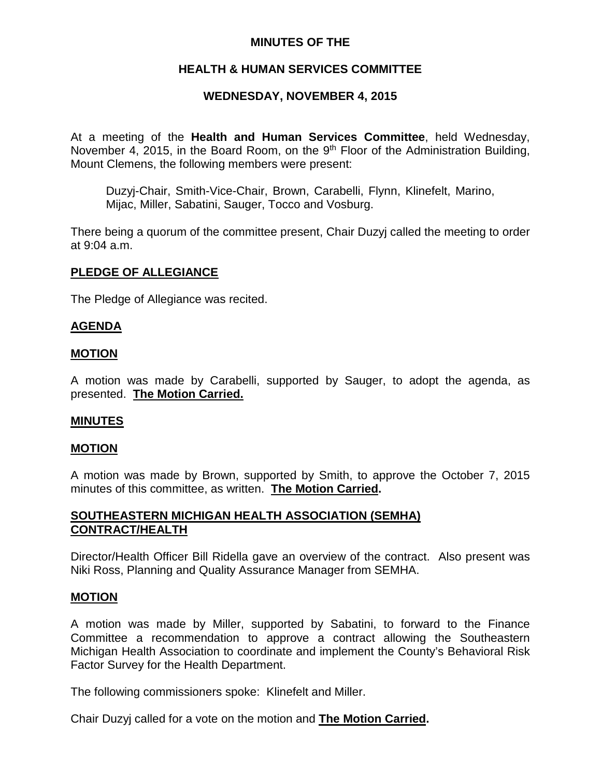# **MINUTES OF THE**

# **HEALTH & HUMAN SERVICES COMMITTEE**

# **WEDNESDAY, NOVEMBER 4, 2015**

At a meeting of the **Health and Human Services Committee**, held Wednesday, November 4, 2015, in the Board Room, on the  $9<sup>th</sup>$  Floor of the Administration Building, Mount Clemens, the following members were present:

Duzyj-Chair, Smith-Vice-Chair, Brown, Carabelli, Flynn, Klinefelt, Marino, Mijac, Miller, Sabatini, Sauger, Tocco and Vosburg.

There being a quorum of the committee present, Chair Duzyj called the meeting to order at 9:04 a.m.

## **PLEDGE OF ALLEGIANCE**

The Pledge of Allegiance was recited.

## **AGENDA**

### **MOTION**

A motion was made by Carabelli, supported by Sauger, to adopt the agenda, as presented. **The Motion Carried.**

### **MINUTES**

### **MOTION**

A motion was made by Brown, supported by Smith, to approve the October 7, 2015 minutes of this committee, as written. **The Motion Carried.**

## **SOUTHEASTERN MICHIGAN HEALTH ASSOCIATION (SEMHA) CONTRACT/HEALTH**

Director/Health Officer Bill Ridella gave an overview of the contract. Also present was Niki Ross, Planning and Quality Assurance Manager from SEMHA.

### **MOTION**

A motion was made by Miller, supported by Sabatini, to forward to the Finance Committee a recommendation to approve a contract allowing the Southeastern Michigan Health Association to coordinate and implement the County's Behavioral Risk Factor Survey for the Health Department.

The following commissioners spoke: Klinefelt and Miller.

Chair Duzyj called for a vote on the motion and **The Motion Carried.**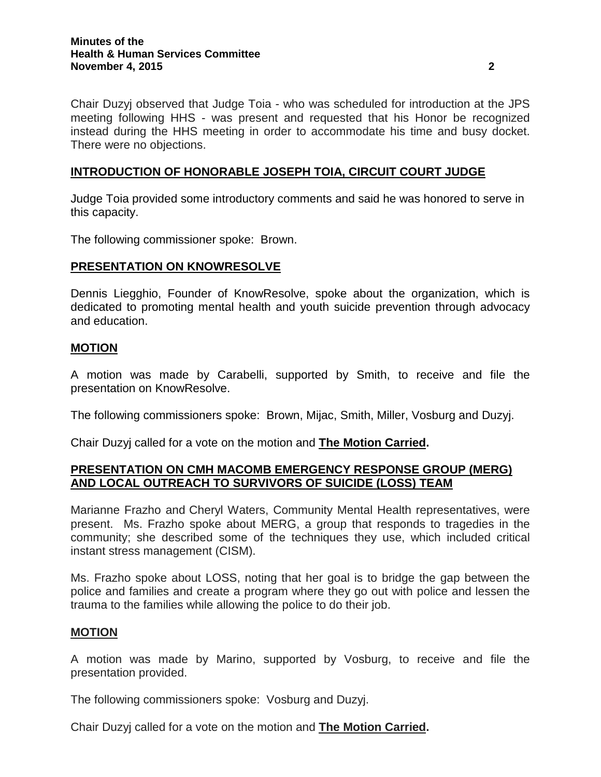Chair Duzyj observed that Judge Toia - who was scheduled for introduction at the JPS meeting following HHS - was present and requested that his Honor be recognized instead during the HHS meeting in order to accommodate his time and busy docket. There were no objections.

## **INTRODUCTION OF HONORABLE JOSEPH TOIA, CIRCUIT COURT JUDGE**

Judge Toia provided some introductory comments and said he was honored to serve in this capacity.

The following commissioner spoke: Brown.

## **PRESENTATION ON KNOWRESOLVE**

Dennis Liegghio, Founder of KnowResolve, spoke about the organization, which is dedicated to promoting mental health and youth suicide prevention through advocacy and education.

### **MOTION**

A motion was made by Carabelli, supported by Smith, to receive and file the presentation on KnowResolve.

The following commissioners spoke: Brown, Mijac, Smith, Miller, Vosburg and Duzyj.

Chair Duzyj called for a vote on the motion and **The Motion Carried.**

## **PRESENTATION ON CMH MACOMB EMERGENCY RESPONSE GROUP (MERG) AND LOCAL OUTREACH TO SURVIVORS OF SUICIDE (LOSS) TEAM**

Marianne Frazho and Cheryl Waters, Community Mental Health representatives, were present. Ms. Frazho spoke about MERG, a group that responds to tragedies in the community; she described some of the techniques they use, which included critical instant stress management (CISM).

Ms. Frazho spoke about LOSS, noting that her goal is to bridge the gap between the police and families and create a program where they go out with police and lessen the trauma to the families while allowing the police to do their job.

#### **MOTION**

A motion was made by Marino, supported by Vosburg, to receive and file the presentation provided.

The following commissioners spoke: Vosburg and Duzyj.

Chair Duzyj called for a vote on the motion and **The Motion Carried.**